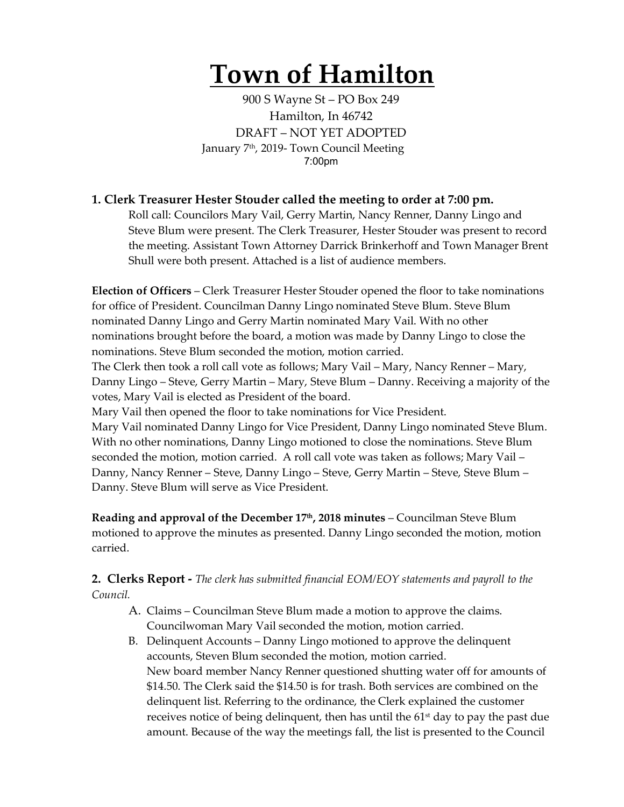# **Town of Hamilton**

900 S Wayne St – PO Box 249 Hamilton, In 46742 DRAFT – NOT YET ADOPTED January 7<sup>th</sup>, 2019- Town Council Meeting 7:00pm

### **1. Clerk Treasurer Hester Stouder called the meeting to order at 7:00 pm.**

Roll call: Councilors Mary Vail, Gerry Martin, Nancy Renner, Danny Lingo and Steve Blum were present. The Clerk Treasurer, Hester Stouder was present to record the meeting. Assistant Town Attorney Darrick Brinkerhoff and Town Manager Brent Shull were both present. Attached is a list of audience members.

**Election of Officers** – Clerk Treasurer Hester Stouder opened the floor to take nominations for office of President. Councilman Danny Lingo nominated Steve Blum. Steve Blum nominated Danny Lingo and Gerry Martin nominated Mary Vail. With no other nominations brought before the board, a motion was made by Danny Lingo to close the nominations. Steve Blum seconded the motion, motion carried.

The Clerk then took a roll call vote as follows; Mary Vail – Mary, Nancy Renner – Mary, Danny Lingo – Steve, Gerry Martin – Mary, Steve Blum – Danny. Receiving a majority of the votes, Mary Vail is elected as President of the board.

Mary Vail then opened the floor to take nominations for Vice President.

Mary Vail nominated Danny Lingo for Vice President, Danny Lingo nominated Steve Blum. With no other nominations, Danny Lingo motioned to close the nominations. Steve Blum seconded the motion, motion carried. A roll call vote was taken as follows; Mary Vail – Danny, Nancy Renner – Steve, Danny Lingo – Steve, Gerry Martin – Steve, Steve Blum – Danny. Steve Blum will serve as Vice President.

**Reading and approval of the December 17th, 2018 minutes** – Councilman Steve Blum motioned to approve the minutes as presented. Danny Lingo seconded the motion, motion carried.

## **2. Clerks Report -** *The clerk has submitted financial EOM/EOY statements and payroll to the Council.*

- A. Claims Councilman Steve Blum made a motion to approve the claims. Councilwoman Mary Vail seconded the motion, motion carried.
- B. Delinquent Accounts Danny Lingo motioned to approve the delinquent accounts, Steven Blum seconded the motion, motion carried. New board member Nancy Renner questioned shutting water off for amounts of \$14.50. The Clerk said the \$14.50 is for trash. Both services are combined on the delinquent list. Referring to the ordinance, the Clerk explained the customer receives notice of being delinquent, then has until the 61<sup>st</sup> day to pay the past due amount. Because of the way the meetings fall, the list is presented to the Council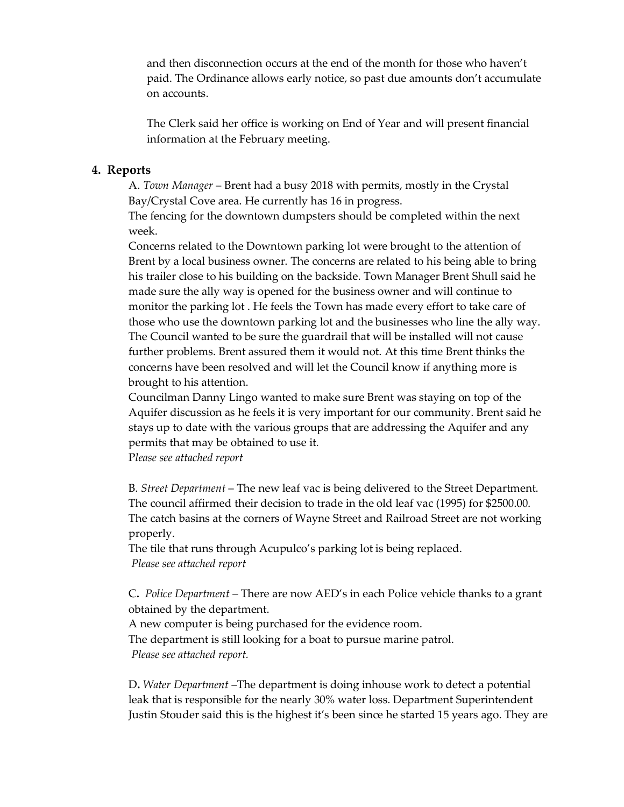and then disconnection occurs at the end of the month for those who haven't paid. The Ordinance allows early notice, so past due amounts don't accumulate on accounts.

The Clerk said her office is working on End of Year and will present financial information at the February meeting.

#### **4. Reports**

A. *Town Manager* – Brent had a busy 2018 with permits, mostly in the Crystal Bay/Crystal Cove area. He currently has 16 in progress.

The fencing for the downtown dumpsters should be completed within the next week.

Concerns related to the Downtown parking lot were brought to the attention of Brent by a local business owner. The concerns are related to his being able to bring his trailer close to his building on the backside. Town Manager Brent Shull said he made sure the ally way is opened for the business owner and will continue to monitor the parking lot . He feels the Town has made every effort to take care of those who use the downtown parking lot and the businesses who line the ally way. The Council wanted to be sure the guardrail that will be installed will not cause further problems. Brent assured them it would not. At this time Brent thinks the concerns have been resolved and will let the Council know if anything more is brought to his attention.

Councilman Danny Lingo wanted to make sure Brent was staying on top of the Aquifer discussion as he feels it is very important for our community. Brent said he stays up to date with the various groups that are addressing the Aquifer and any permits that may be obtained to use it.

P*lease see attached report*

B*. Street Department* – The new leaf vac is being delivered to the Street Department. The council affirmed their decision to trade in the old leaf vac (1995) for \$2500.00. The catch basins at the corners of Wayne Street and Railroad Street are not working properly.

The tile that runs through Acupulco's parking lot is being replaced. *Please see attached report*

C**.** *Police Department –* There are now AED's in each Police vehicle thanks to a grant obtained by the department.

A new computer is being purchased for the evidence room.

The department is still looking for a boat to pursue marine patrol. *Please see attached report.*

D**.** *Water Department* –The department is doing inhouse work to detect a potential leak that is responsible for the nearly 30% water loss. Department Superintendent Justin Stouder said this is the highest it's been since he started 15 years ago. They are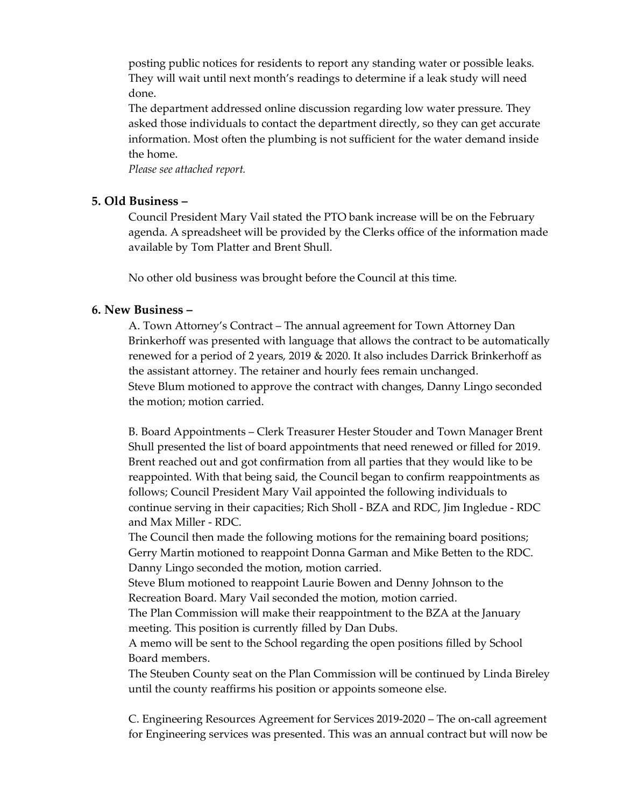posting public notices for residents to report any standing water or possible leaks. They will wait until next month's readings to determine if a leak study will need done.

The department addressed online discussion regarding low water pressure. They asked those individuals to contact the department directly, so they can get accurate information. Most often the plumbing is not sufficient for the water demand inside the home.

*Please see attached report.* 

#### **5. Old Business –**

Council President Mary Vail stated the PTO bank increase will be on the February agenda. A spreadsheet will be provided by the Clerks office of the information made available by Tom Platter and Brent Shull.

No other old business was brought before the Council at this time.

#### **6. New Business –**

A. Town Attorney's Contract – The annual agreement for Town Attorney Dan Brinkerhoff was presented with language that allows the contract to be automatically renewed for a period of 2 years, 2019 & 2020. It also includes Darrick Brinkerhoff as the assistant attorney. The retainer and hourly fees remain unchanged. Steve Blum motioned to approve the contract with changes, Danny Lingo seconded the motion; motion carried.

B. Board Appointments – Clerk Treasurer Hester Stouder and Town Manager Brent Shull presented the list of board appointments that need renewed or filled for 2019. Brent reached out and got confirmation from all parties that they would like to be reappointed. With that being said, the Council began to confirm reappointments as follows; Council President Mary Vail appointed the following individuals to continue serving in their capacities; Rich Sholl - BZA and RDC, Jim Ingledue - RDC and Max Miller - RDC.

The Council then made the following motions for the remaining board positions; Gerry Martin motioned to reappoint Donna Garman and Mike Betten to the RDC. Danny Lingo seconded the motion, motion carried.

Steve Blum motioned to reappoint Laurie Bowen and Denny Johnson to the Recreation Board. Mary Vail seconded the motion, motion carried.

The Plan Commission will make their reappointment to the BZA at the January meeting. This position is currently filled by Dan Dubs.

A memo will be sent to the School regarding the open positions filled by School Board members.

The Steuben County seat on the Plan Commission will be continued by Linda Bireley until the county reaffirms his position or appoints someone else.

C. Engineering Resources Agreement for Services 2019-2020 – The on-call agreement for Engineering services was presented. This was an annual contract but will now be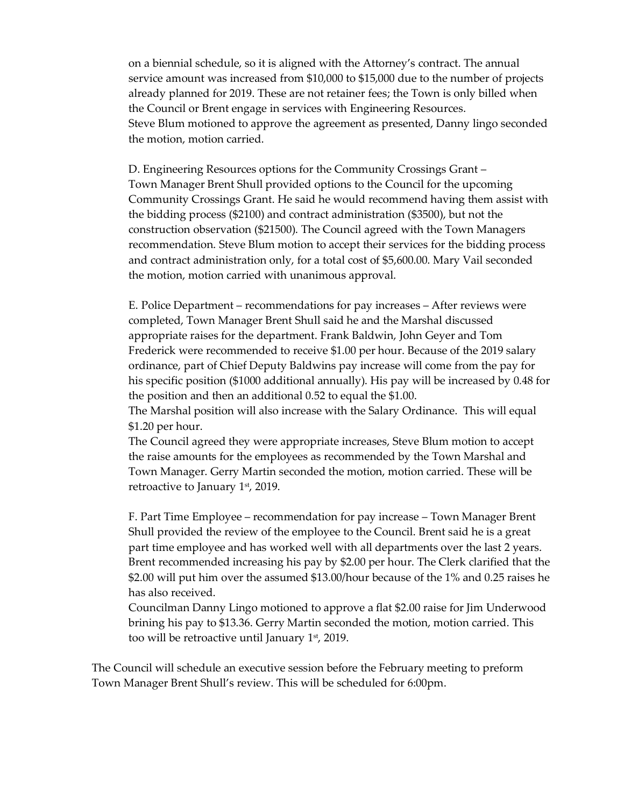on a biennial schedule, so it is aligned with the Attorney's contract. The annual service amount was increased from \$10,000 to \$15,000 due to the number of projects already planned for 2019. These are not retainer fees; the Town is only billed when the Council or Brent engage in services with Engineering Resources. Steve Blum motioned to approve the agreement as presented, Danny lingo seconded the motion, motion carried.

D. Engineering Resources options for the Community Crossings Grant – Town Manager Brent Shull provided options to the Council for the upcoming Community Crossings Grant. He said he would recommend having them assist with the bidding process (\$2100) and contract administration (\$3500), but not the construction observation (\$21500). The Council agreed with the Town Managers recommendation. Steve Blum motion to accept their services for the bidding process and contract administration only, for a total cost of \$5,600.00. Mary Vail seconded the motion, motion carried with unanimous approval.

E. Police Department – recommendations for pay increases – After reviews were completed, Town Manager Brent Shull said he and the Marshal discussed appropriate raises for the department. Frank Baldwin, John Geyer and Tom Frederick were recommended to receive \$1.00 per hour. Because of the 2019 salary ordinance, part of Chief Deputy Baldwins pay increase will come from the pay for his specific position (\$1000 additional annually). His pay will be increased by 0.48 for the position and then an additional 0.52 to equal the \$1.00.

The Marshal position will also increase with the Salary Ordinance. This will equal \$1.20 per hour.

The Council agreed they were appropriate increases, Steve Blum motion to accept the raise amounts for the employees as recommended by the Town Marshal and Town Manager. Gerry Martin seconded the motion, motion carried. These will be retroactive to January  $1<sup>st</sup>$ , 2019.

F. Part Time Employee – recommendation for pay increase – Town Manager Brent Shull provided the review of the employee to the Council. Brent said he is a great part time employee and has worked well with all departments over the last 2 years. Brent recommended increasing his pay by \$2.00 per hour. The Clerk clarified that the \$2.00 will put him over the assumed \$13.00/hour because of the 1% and 0.25 raises he has also received.

Councilman Danny Lingo motioned to approve a flat \$2.00 raise for Jim Underwood brining his pay to \$13.36. Gerry Martin seconded the motion, motion carried. This too will be retroactive until January  $1<sup>st</sup>$ , 2019.

The Council will schedule an executive session before the February meeting to preform Town Manager Brent Shull's review. This will be scheduled for 6:00pm.